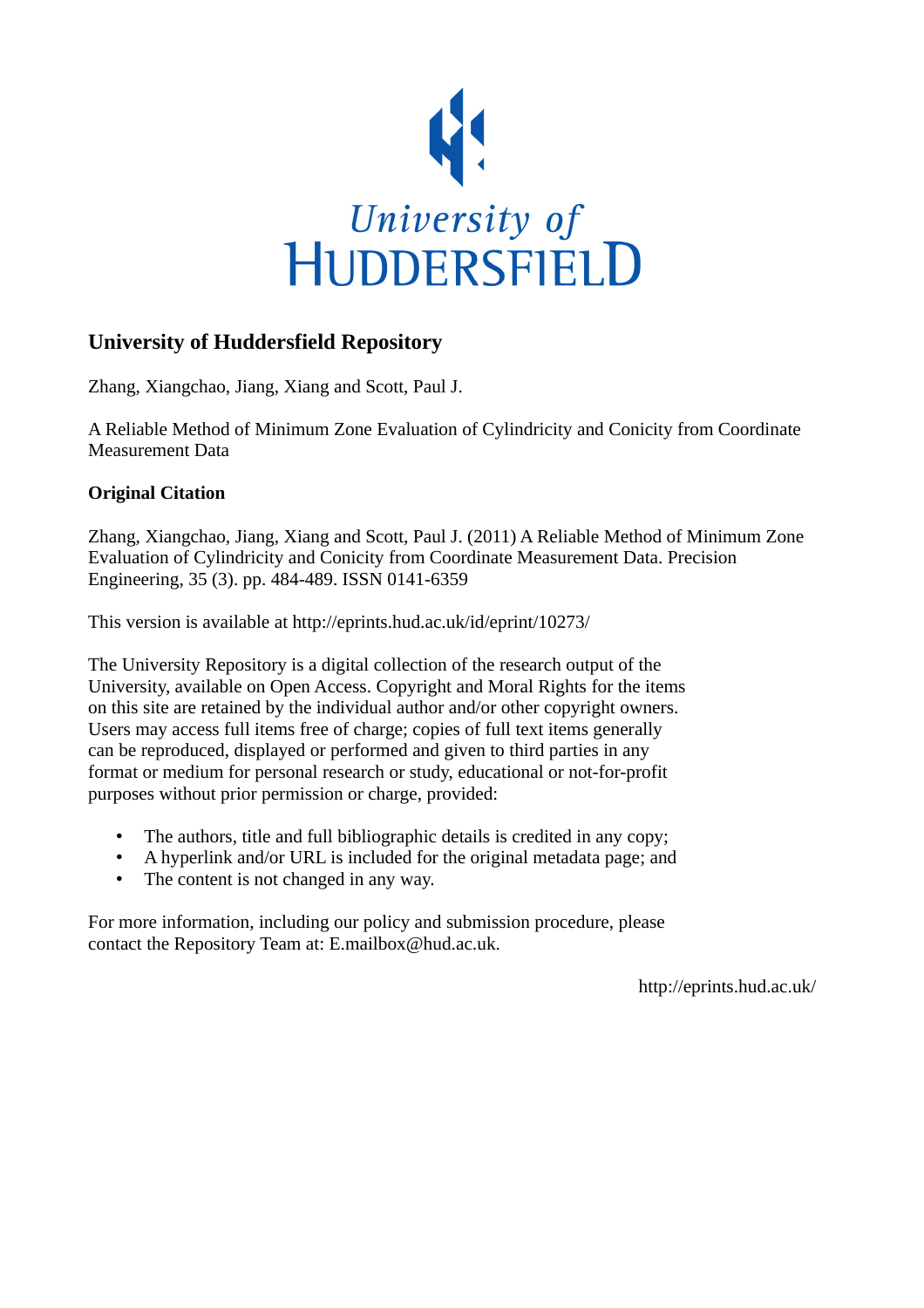

# **University of Huddersfield Repository**

Zhang, Xiangchao, Jiang, Xiang and Scott, Paul J.

A Reliable Method of Minimum Zone Evaluation of Cylindricity and Conicity from Coordinate Measurement Data

# **Original Citation**

Zhang, Xiangchao, Jiang, Xiang and Scott, Paul J. (2011) A Reliable Method of Minimum Zone Evaluation of Cylindricity and Conicity from Coordinate Measurement Data. Precision Engineering, 35 (3). pp. 484-489. ISSN 0141-6359

This version is available at http://eprints.hud.ac.uk/id/eprint/10273/

The University Repository is a digital collection of the research output of the University, available on Open Access. Copyright and Moral Rights for the items on this site are retained by the individual author and/or other copyright owners. Users may access full items free of charge; copies of full text items generally can be reproduced, displayed or performed and given to third parties in any format or medium for personal research or study, educational or not-for-profit purposes without prior permission or charge, provided:

- The authors, title and full bibliographic details is credited in any copy;
- A hyperlink and/or URL is included for the original metadata page; and
- The content is not changed in any way.

For more information, including our policy and submission procedure, please contact the Repository Team at: E.mailbox@hud.ac.uk.

http://eprints.hud.ac.uk/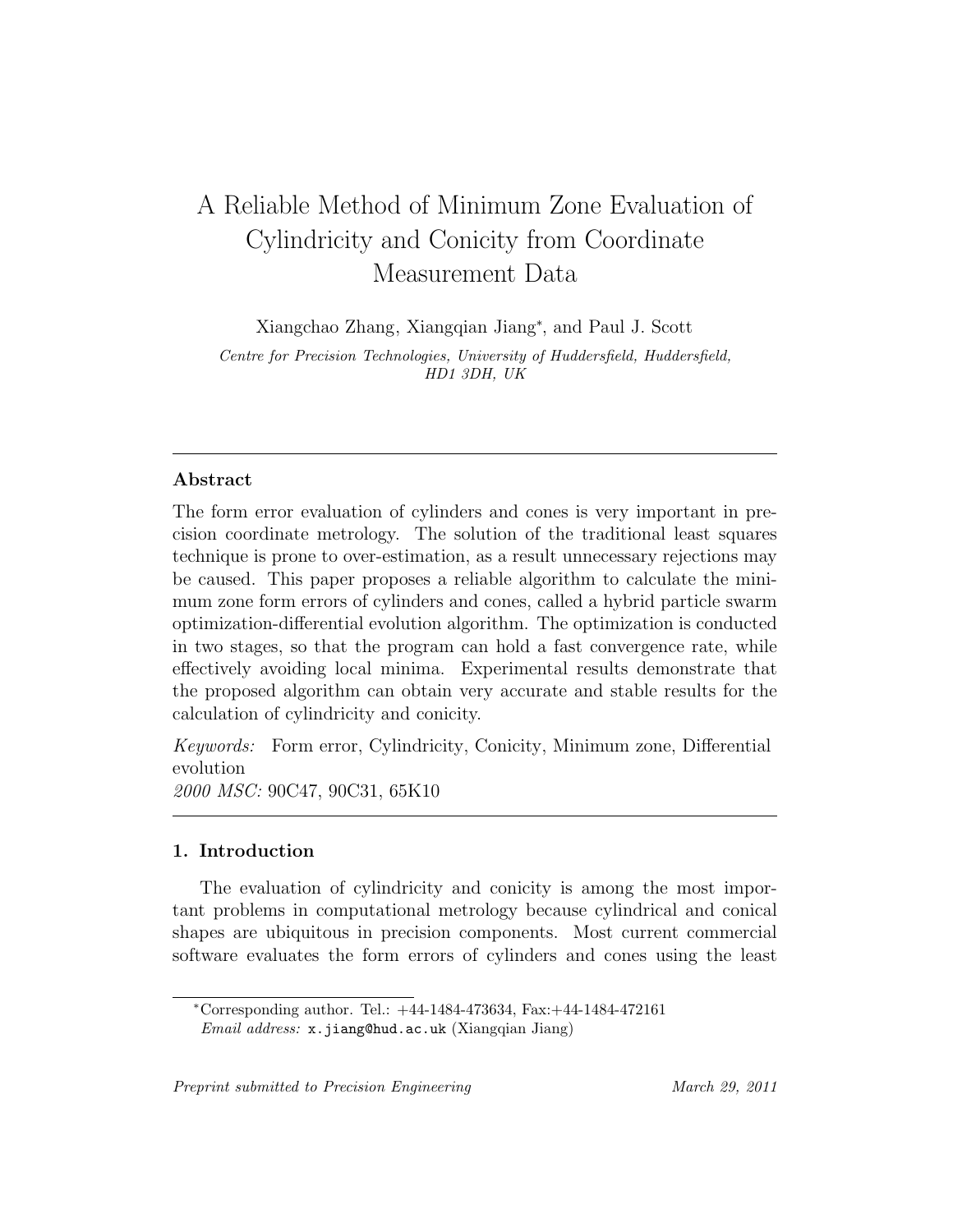# A Reliable Method of Minimum Zone Evaluation of Cylindricity and Conicity from Coordinate Measurement Data

Xiangchao Zhang, Xiangqian Jiang*<sup>∗</sup>* , and Paul J. Scott

*Centre for Precision Technologies, University of Huddersfield, Huddersfield, HD1 3DH, UK*

## **Abstract**

The form error evaluation of cylinders and cones is very important in precision coordinate metrology. The solution of the traditional least squares technique is prone to over-estimation, as a result unnecessary rejections may be caused. This paper proposes a reliable algorithm to calculate the minimum zone form errors of cylinders and cones, called a hybrid particle swarm optimization-differential evolution algorithm. The optimization is conducted in two stages, so that the program can hold a fast convergence rate, while effectively avoiding local minima. Experimental results demonstrate that the proposed algorithm can obtain very accurate and stable results for the calculation of cylindricity and conicity.

*Keywords:* Form error, Cylindricity, Conicity, Minimum zone, Differential evolution *2000 MSC:* 90C47, 90C31, 65K10

#### **1. Introduction**

The evaluation of cylindricity and conicity is among the most important problems in computational metrology because cylindrical and conical shapes are ubiquitous in precision components. Most current commercial software evaluates the form errors of cylinders and cones using the least

*<sup>∗</sup>*Corresponding author. Tel.: +44-1484-473634, Fax:+44-1484-472161 *Email address:* x.jiang@hud.ac.uk (Xiangqian Jiang)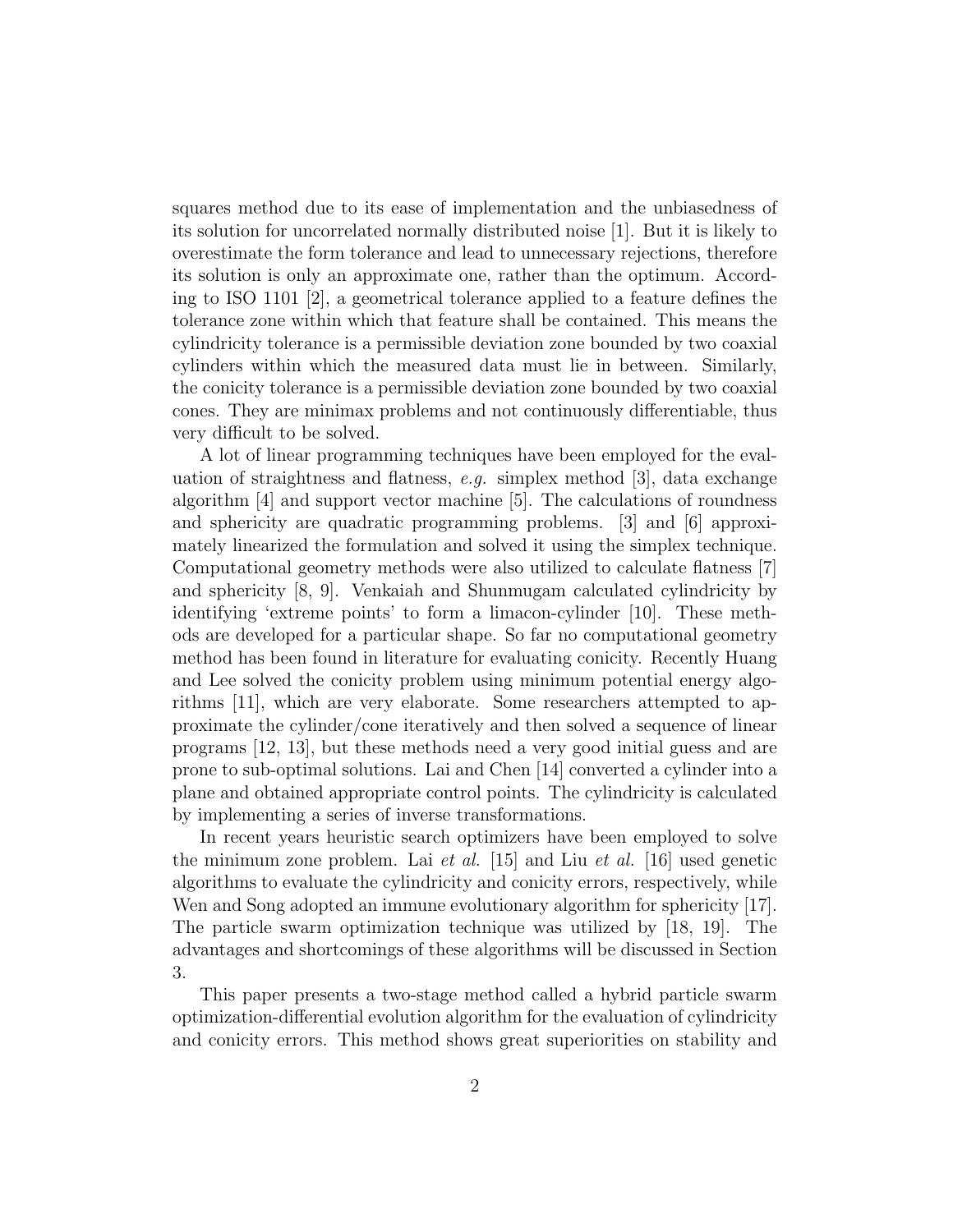squares method due to its ease of implementation and the unbiasedness of its solution for uncorrelated normally distributed noise [1]. But it is likely to overestimate the form tolerance and lead to unnecessary rejections, therefore its solution is only an approximate one, rather than the optimum. According to ISO 1101 [2], a geometrical tolerance applied to a feature defines the tolerance zone within which that feature shall be contained. This means the cylindricity tolerance is a permissible deviation zone bounded by two coaxial cylinders within which the measured data must lie in between. Similarly, the conicity tolerance is a permissible deviation zone bounded by two coaxial cones. They are minimax problems and not continuously differentiable, thus very difficult to be solved.

A lot of linear programming techniques have been employed for the evaluation of straightness and flatness, *e.g.* simplex method [3], data exchange algorithm [4] and support vector machine [5]. The calculations of roundness and sphericity are quadratic programming problems. [3] and [6] approximately linearized the formulation and solved it using the simplex technique. Computational geometry methods were also utilized to calculate flatness [7] and sphericity [8, 9]. Venkaiah and Shunmugam calculated cylindricity by identifying 'extreme points' to form a limacon-cylinder [10]. These methods are developed for a particular shape. So far no computational geometry method has been found in literature for evaluating conicity. Recently Huang and Lee solved the conicity problem using minimum potential energy algorithms [11], which are very elaborate. Some researchers attempted to approximate the cylinder/cone iteratively and then solved a sequence of linear programs [12, 13], but these methods need a very good initial guess and are prone to sub-optimal solutions. Lai and Chen [14] converted a cylinder into a plane and obtained appropriate control points. The cylindricity is calculated by implementing a series of inverse transformations.

In recent years heuristic search optimizers have been employed to solve the minimum zone problem. Lai *et al.* [15] and Liu *et al.* [16] used genetic algorithms to evaluate the cylindricity and conicity errors, respectively, while Wen and Song adopted an immune evolutionary algorithm for sphericity [17]. The particle swarm optimization technique was utilized by [18, 19]. The advantages and shortcomings of these algorithms will be discussed in Section 3.

This paper presents a two-stage method called a hybrid particle swarm optimization-differential evolution algorithm for the evaluation of cylindricity and conicity errors. This method shows great superiorities on stability and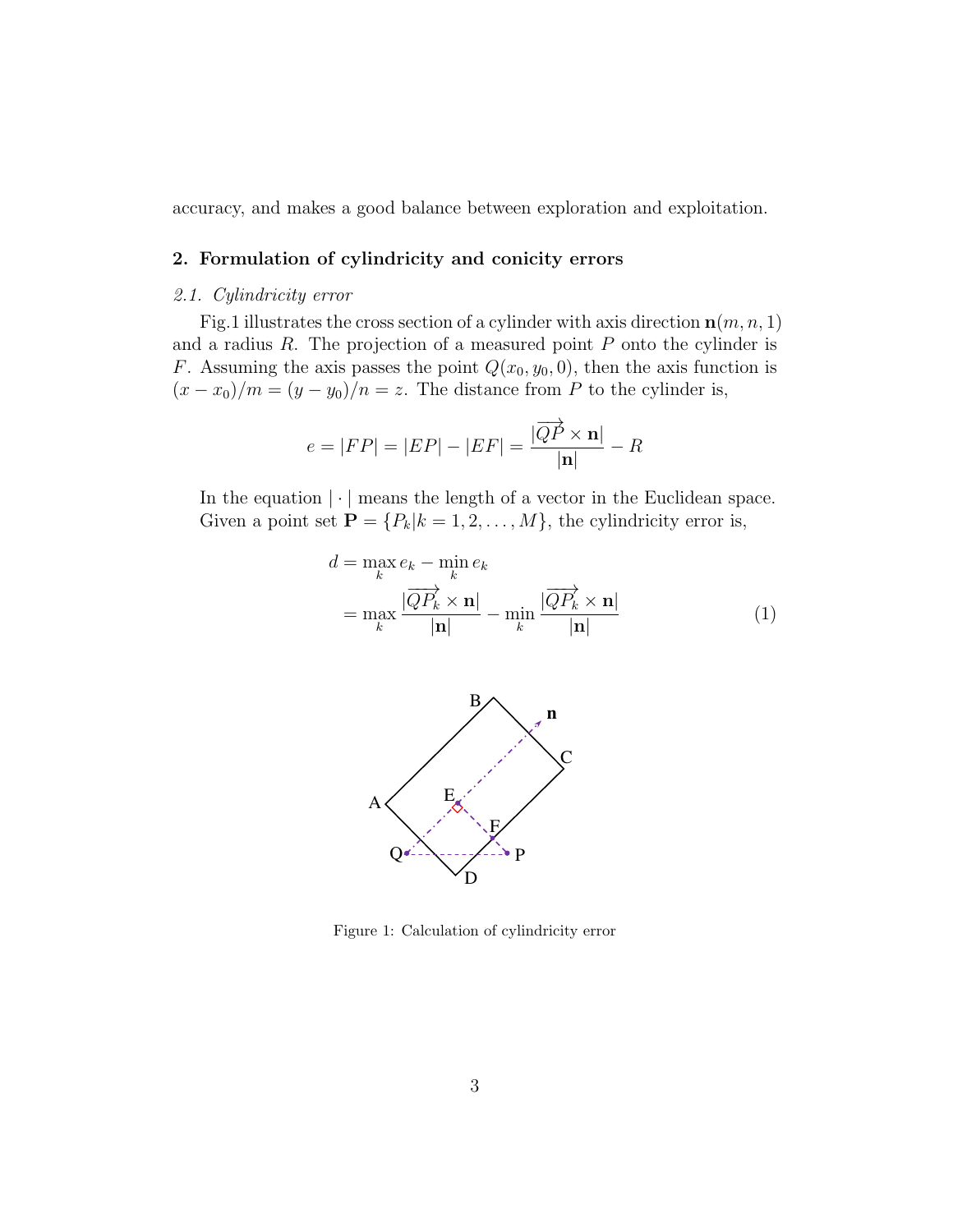accuracy, and makes a good balance between exploration and exploitation.

### **2. Formulation of cylindricity and conicity errors**

#### *2.1. Cylindricity error*

Fig.1 illustrates the cross section of a cylinder with axis direction **n**(*m, n,* 1) and a radius *R*. The projection of a measured point *P* onto the cylinder is *F*. Assuming the axis passes the point  $Q(x_0, y_0, 0)$ , then the axis function is  $(x - x_0)/m = (y - y_0)/n = z$ . The distance from *P* to the cylinder is,

$$
e = |FP| = |EP| - |EF| = \frac{|\overrightarrow{QP} \times \mathbf{n}|}{|\mathbf{n}|} - R
$$

In the equation *| · |* means the length of a vector in the Euclidean space. Given a point set  $\mathbf{P} = \{P_k | k = 1, 2, \dots, M\}$ , the cylindricity error is,

$$
d = \max_{k} e_k - \min_{k} e_k
$$
  
= 
$$
\max_{k} \frac{|\overrightarrow{QP_k} \times \mathbf{n}|}{|\mathbf{n}|} - \min_{k} \frac{|\overrightarrow{QP_k} \times \mathbf{n}|}{|\mathbf{n}|}
$$
 (1)



Figure 1: Calculation of cylindricity error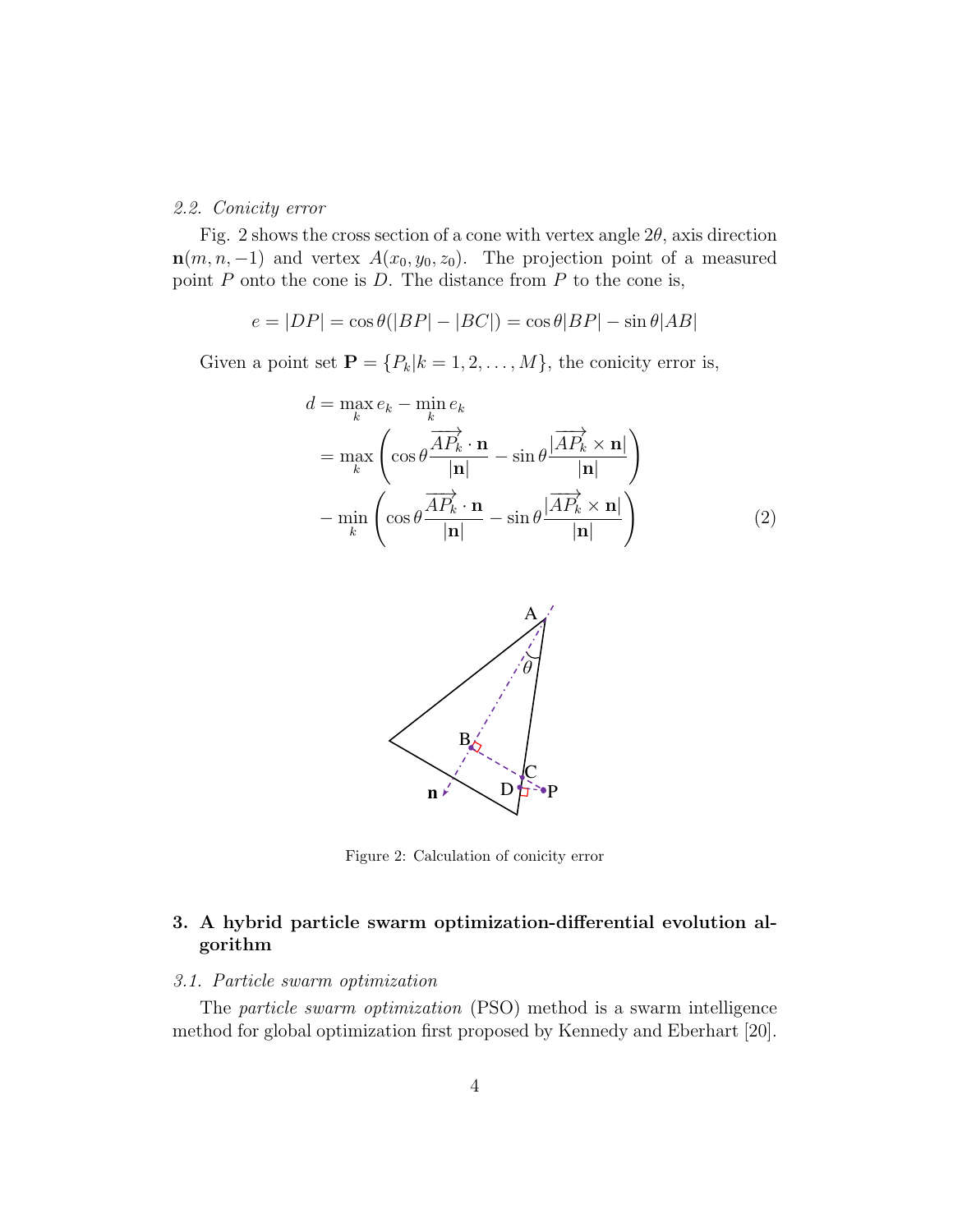#### *2.2. Conicity error*

Fig. 2 shows the cross section of a cone with vertex angle 2*θ*, axis direction  $\mathbf{n}(m, n, -1)$  and vertex  $A(x_0, y_0, z_0)$ . The projection point of a measured point *P* onto the cone is *D*. The distance from *P* to the cone is,

$$
e = |DP| = \cos\theta(|BP| - |BC|) = \cos\theta|BP| - \sin\theta|AB|
$$

Given a point set  $\mathbf{P} = \{P_k | k = 1, 2, \dots, M\}$ , the conicity error is,

$$
d = \max_{k} e_k - \min_{k} e_k
$$
  
= 
$$
\max_{k} \left( \cos \theta \frac{\overrightarrow{AP_k} \cdot \mathbf{n}}{|\mathbf{n}|} - \sin \theta \frac{|\overrightarrow{AP_k} \times \mathbf{n}|}{|\mathbf{n}|} \right)
$$
  
- 
$$
\min_{k} \left( \cos \theta \frac{\overrightarrow{AP_k} \cdot \mathbf{n}}{|\mathbf{n}|} - \sin \theta \frac{|\overrightarrow{AP_k} \times \mathbf{n}|}{|\mathbf{n}|} \right)
$$
(2)



Figure 2: Calculation of conicity error

# **3. A hybrid particle swarm optimization-differential evolution algorithm**

#### *3.1. Particle swarm optimization*

The *particle swarm optimization* (PSO) method is a swarm intelligence method for global optimization first proposed by Kennedy and Eberhart [20].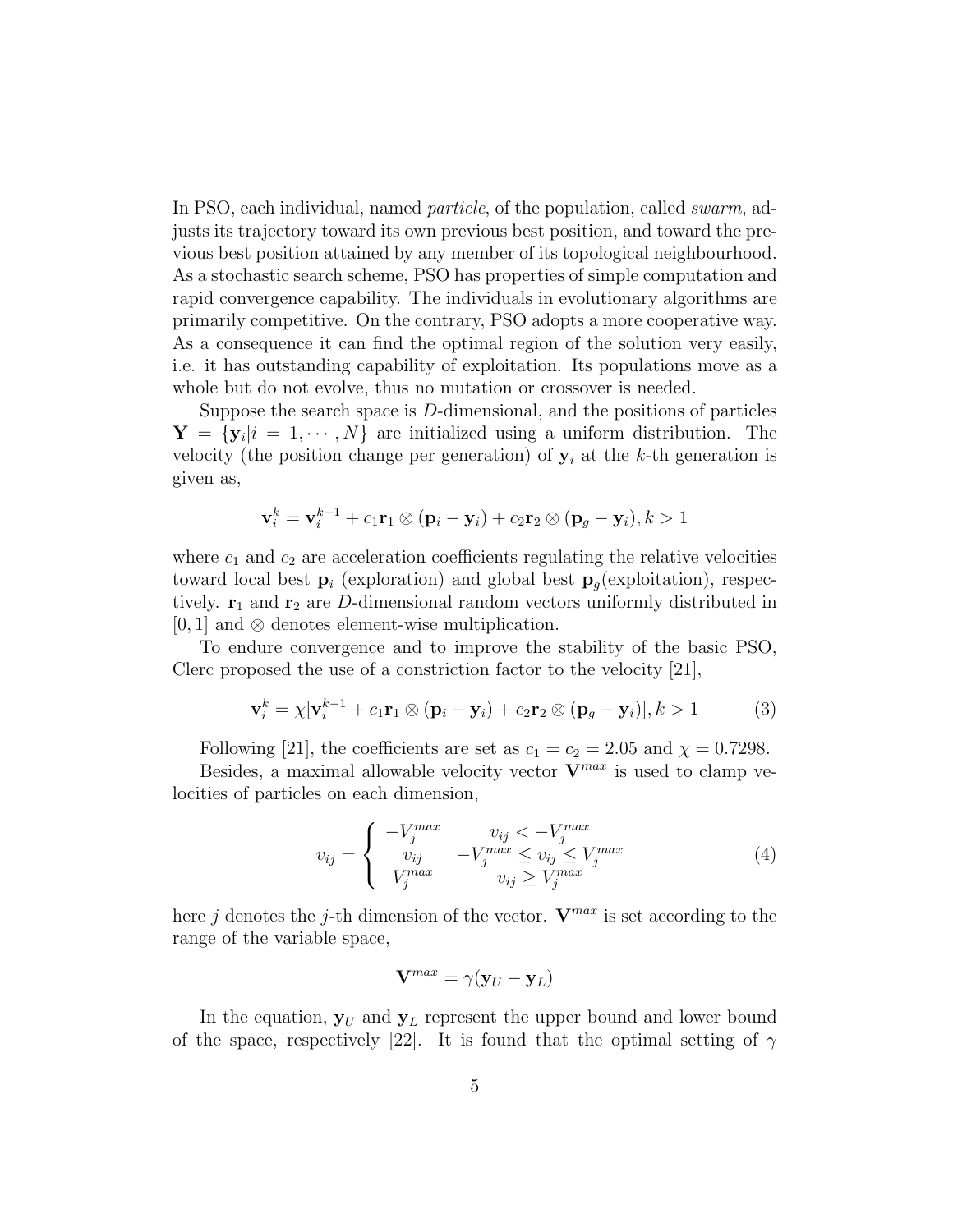In PSO, each individual, named *particle*, of the population, called *swarm*, adjusts its trajectory toward its own previous best position, and toward the previous best position attained by any member of its topological neighbourhood. As a stochastic search scheme, PSO has properties of simple computation and rapid convergence capability. The individuals in evolutionary algorithms are primarily competitive. On the contrary, PSO adopts a more cooperative way. As a consequence it can find the optimal region of the solution very easily, i.e. it has outstanding capability of exploitation. Its populations move as a whole but do not evolve, thus no mutation or crossover is needed.

Suppose the search space is *D*-dimensional, and the positions of particles  $\mathbf{Y} = {\mathbf{y}_i | i = 1, \cdots, N}$  are initialized using a uniform distribution. The velocity (the position change per generation) of  $y_i$  at the *k*-th generation is given as,

$$
\mathbf{v}_i^k = \mathbf{v}_i^{k-1} + c_1 \mathbf{r}_1 \otimes (\mathbf{p}_i - \mathbf{y}_i) + c_2 \mathbf{r}_2 \otimes (\mathbf{p}_g - \mathbf{y}_i), k > 1
$$

where  $c_1$  and  $c_2$  are acceleration coefficients regulating the relative velocities toward local best  $\mathbf{p}_i$  (exploration) and global best  $\mathbf{p}_q$ (exploitation), respectively.  $\mathbf{r}_1$  and  $\mathbf{r}_2$  are *D*-dimensional random vectors uniformly distributed in [0*,* 1] and *⊗* denotes element-wise multiplication.

To endure convergence and to improve the stability of the basic PSO, Clerc proposed the use of a constriction factor to the velocity [21],

$$
\mathbf{v}_i^k = \chi[\mathbf{v}_i^{k-1} + c_1 \mathbf{r}_1 \otimes (\mathbf{p}_i - \mathbf{y}_i) + c_2 \mathbf{r}_2 \otimes (\mathbf{p}_g - \mathbf{y}_i)], k > 1
$$
 (3)

Following [21], the coefficients are set as  $c_1 = c_2 = 2.05$  and  $\chi = 0.7298$ .

Besides, a maximal allowable velocity vector  $V^{max}$  is used to clamp velocities of particles on each dimension,

$$
v_{ij} = \begin{cases} -V_j^{max} & v_{ij} < -V_j^{max} \\ v_{ij} & -V_j^{max} \le v_{ij} \le V_j^{max} \\ V_j^{max} & v_{ij} \ge V_j^{max} \end{cases}
$$
(4)

here *j* denotes the *j*-th dimension of the vector. **V***max* is set according to the range of the variable space,

$$
\mathbf{V}^{max} = \gamma(\mathbf{y}_U - \mathbf{y}_L)
$$

In the equation,  $y_U$  and  $y_L$  represent the upper bound and lower bound of the space, respectively [22]. It is found that the optimal setting of  $\gamma$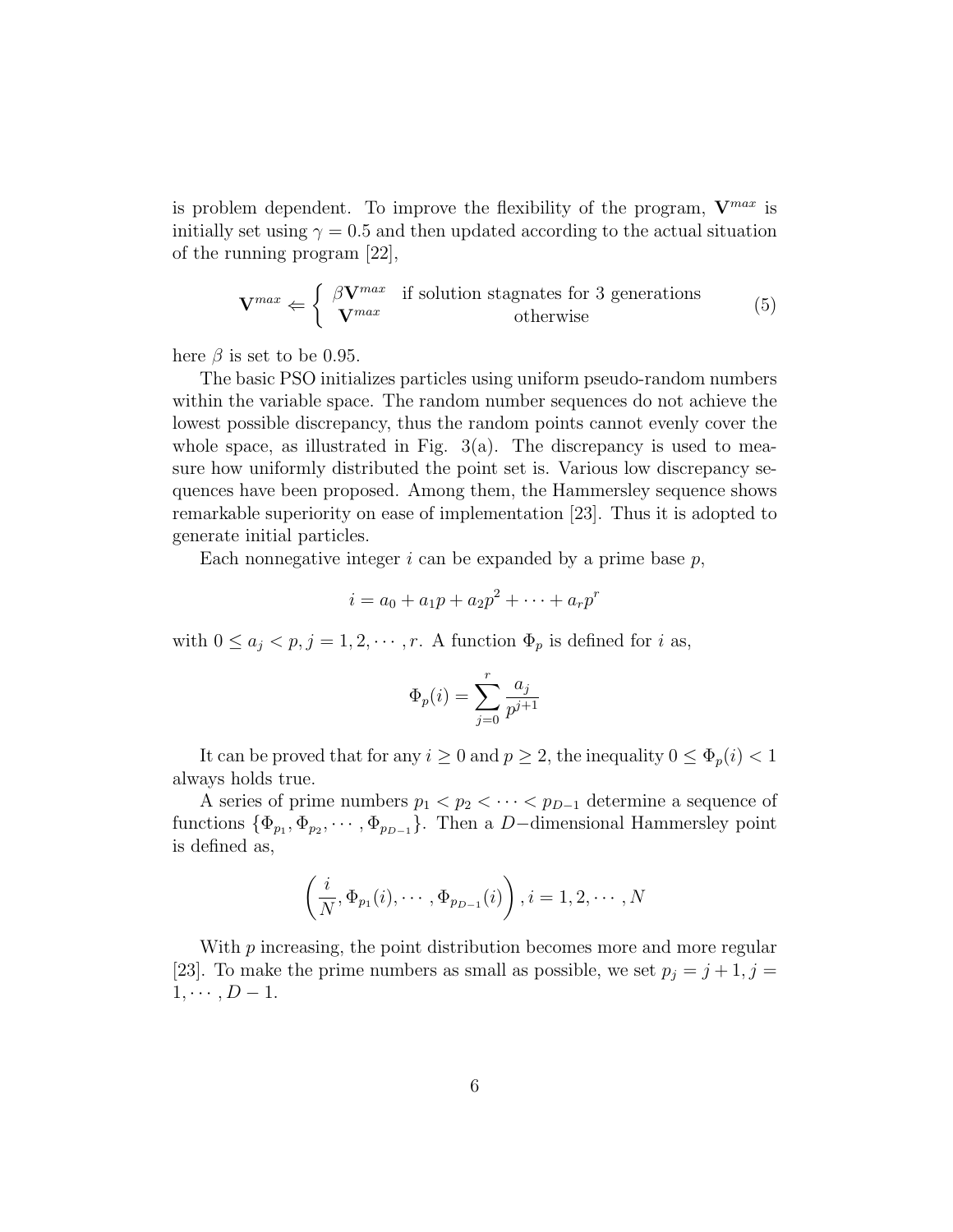is problem dependent. To improve the flexibility of the program, **V***max* is initially set using  $\gamma = 0.5$  and then updated according to the actual situation of the running program [22],

$$
\mathbf{V}^{max} \Leftarrow \begin{cases} \beta \mathbf{V}^{max} & \text{if solution stagnates for 3 generations} \\ \mathbf{V}^{max} & \text{otherwise} \end{cases}
$$
 (5)

here  $\beta$  is set to be 0.95.

The basic PSO initializes particles using uniform pseudo-random numbers within the variable space. The random number sequences do not achieve the lowest possible discrepancy, thus the random points cannot evenly cover the whole space, as illustrated in Fig.  $3(a)$ . The discrepancy is used to measure how uniformly distributed the point set is. Various low discrepancy sequences have been proposed. Among them, the Hammersley sequence shows remarkable superiority on ease of implementation [23]. Thus it is adopted to generate initial particles.

Each nonnegative integer *i* can be expanded by a prime base *p*,

$$
i = a_0 + a_1 p + a_2 p^2 + \dots + a_r p^r
$$

with  $0 \le a_j < p, j = 1, 2, \cdots, r$ . A function  $\Phi_p$  is defined for *i* as,

$$
\Phi_p(i) = \sum_{j=0}^r \frac{a_j}{p^{j+1}}
$$

It can be proved that for any  $i \geq 0$  and  $p \geq 2$ , the inequality  $0 \leq \Phi_p(i) < 1$ always holds true.

A series of prime numbers  $p_1 < p_2 < \cdots < p_{D-1}$  determine a sequence of functions  ${\Phi_{p_1}, \Phi_{p_2}, \cdots, \Phi_{p_{D-1}}}$ . Then a *D*−dimensional Hammersley point is defined as,

$$
\left(\frac{i}{N}, \Phi_{p_1}(i), \cdots, \Phi_{p_{D-1}}(i)\right), i = 1, 2, \cdots, N
$$

With *p* increasing, the point distribution becomes more and more regular [23]. To make the prime numbers as small as possible, we set  $p_j = j + 1, j =$  $1, \cdots, D-1.$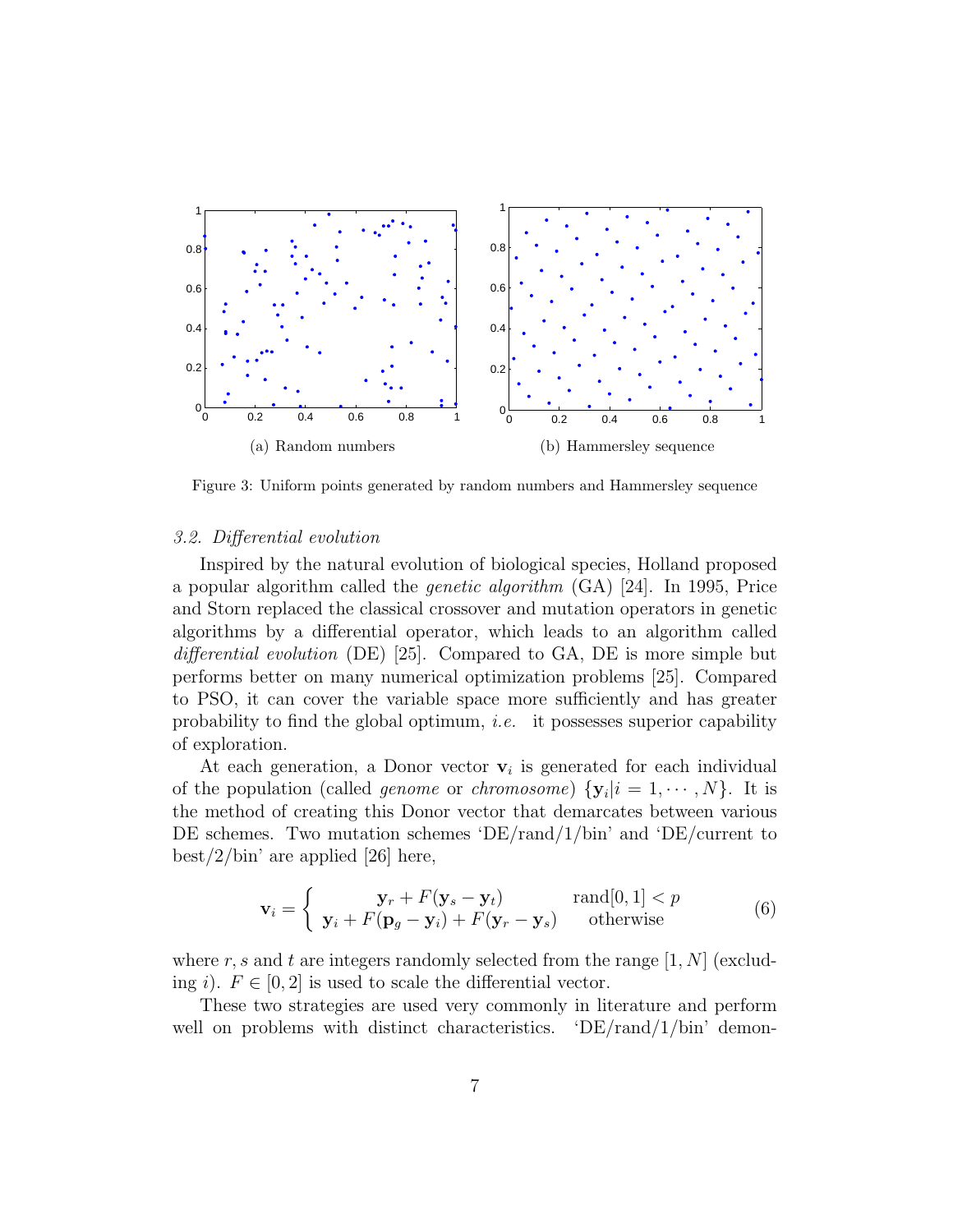

Figure 3: Uniform points generated by random numbers and Hammersley sequence

#### *3.2. Differential evolution*

Inspired by the natural evolution of biological species, Holland proposed a popular algorithm called the *genetic algorithm* (GA) [24]. In 1995, Price and Storn replaced the classical crossover and mutation operators in genetic algorithms by a differential operator, which leads to an algorithm called *differential evolution* (DE) [25]. Compared to GA, DE is more simple but performs better on many numerical optimization problems [25]. Compared to PSO, it can cover the variable space more sufficiently and has greater probability to find the global optimum, *i.e.* it possesses superior capability of exploration.

At each generation, a Donor vector  $v_i$  is generated for each individual of the population (called *genome* or *chromosome*)  $\{y_i | i = 1, \dots, N\}$ . It is the method of creating this Donor vector that demarcates between various DE schemes. Two mutation schemes 'DE/rand/1/bin' and 'DE/current to  $\text{best}/2/\text{bin}'$  are applied [26] here,

$$
\mathbf{v}_{i} = \begin{cases} \mathbf{y}_{r} + F(\mathbf{y}_{s} - \mathbf{y}_{t}) & \text{rand}[0,1] < p \\ \mathbf{y}_{i} + F(\mathbf{p}_{g} - \mathbf{y}_{i}) + F(\mathbf{y}_{r} - \mathbf{y}_{s}) & \text{otherwise} \end{cases}
$$
(6)

where  $r, s$  and  $t$  are integers randomly selected from the range  $[1, N]$  (excluding *i*).  $F \in [0, 2]$  is used to scale the differential vector.

These two strategies are used very commonly in literature and perform well on problems with distinct characteristics.  $\Delta E / \text{rand}/1/\text{bin}$  demon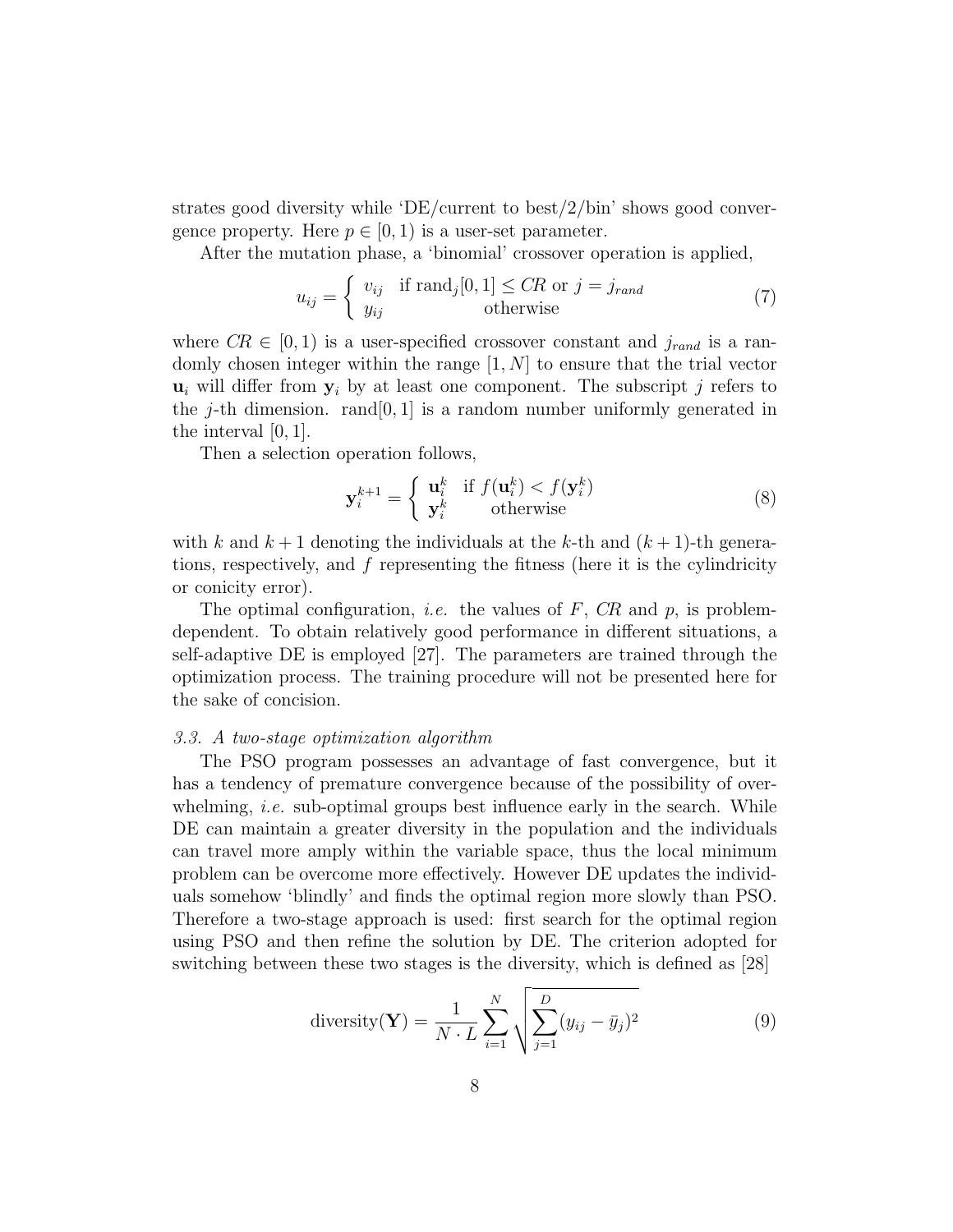strates good diversity while 'DE/current to best/2/bin' shows good convergence property. Here  $p \in [0, 1)$  is a user-set parameter.

After the mutation phase, a 'binomial' crossover operation is applied,

$$
u_{ij} = \begin{cases} v_{ij} & \text{if } \text{rand}_j[0,1] \le CR \text{ or } j = j_{rand} \\ y_{ij} & \text{otherwise} \end{cases}
$$
(7)

where  $CR \in [0, 1)$  is a user-specified crossover constant and  $j_{rand}$  is a randomly chosen integer within the range [1*, N*] to ensure that the trial vector  $u_i$  will differ from  $y_i$  by at least one component. The subscript *j* refers to the  $j$ -th dimension. rand  $[0, 1]$  is a random number uniformly generated in the interval [0*,* 1].

Then a selection operation follows,

$$
\mathbf{y}_{i}^{k+1} = \begin{cases} \mathbf{u}_{i}^{k} & \text{if } f(\mathbf{u}_{i}^{k}) < f(\mathbf{y}_{i}^{k})\\ \mathbf{y}_{i}^{k} & \text{otherwise} \end{cases}
$$
 (8)

with  $k$  and  $k+1$  denoting the individuals at the  $k$ -th and  $(k+1)$ -th generations, respectively, and *f* representing the fitness (here it is the cylindricity or conicity error).

The optimal configuration, *i.e.* the values of *F*, *CR* and *p*, is problemdependent. To obtain relatively good performance in different situations, a self-adaptive DE is employed [27]. The parameters are trained through the optimization process. The training procedure will not be presented here for the sake of concision.

#### *3.3. A two-stage optimization algorithm*

The PSO program possesses an advantage of fast convergence, but it has a tendency of premature convergence because of the possibility of overwhelming, *i.e.* sub-optimal groups best influence early in the search. While DE can maintain a greater diversity in the population and the individuals can travel more amply within the variable space, thus the local minimum problem can be overcome more effectively. However DE updates the individuals somehow 'blindly' and finds the optimal region more slowly than PSO. Therefore a two-stage approach is used: first search for the optimal region using PSO and then refine the solution by DE. The criterion adopted for switching between these two stages is the diversity, which is defined as [28]

diversity(
$$
\mathbf{Y}
$$
) =  $\frac{1}{N \cdot L} \sum_{i=1}^{N} \sqrt{\sum_{j=1}^{D} (y_{ij} - \bar{y}_j)^2}$  (9)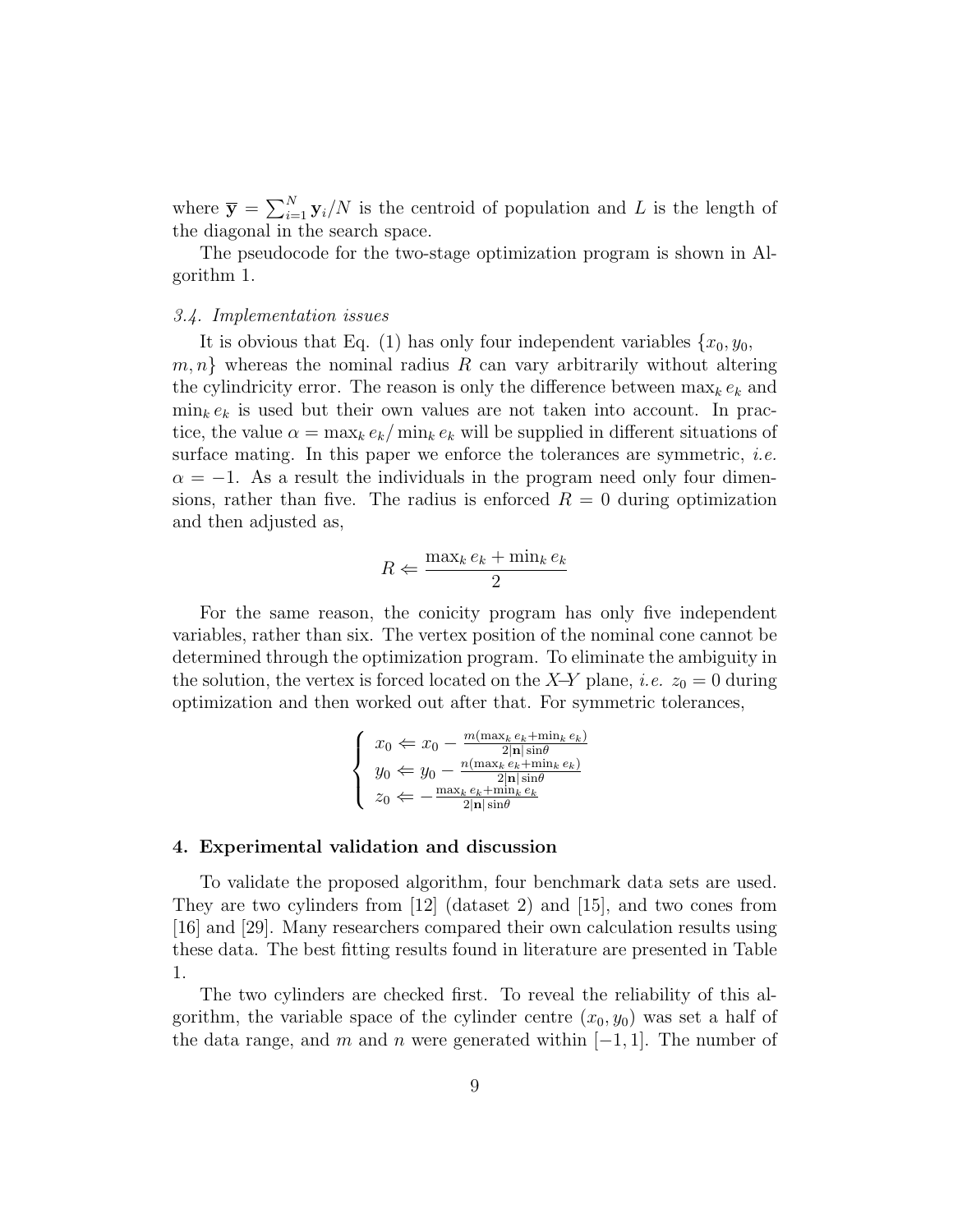where  $\bar{y} = \sum_{i=1}^{N} y_i/N$  is the centroid of population and *L* is the length of the diagonal in the search space.

The pseudocode for the two-stage optimization program is shown in Algorithm 1.

#### *3.4. Implementation issues*

It is obvious that Eq. (1) has only four independent variables  $\{x_0, y_0,$ *m, n}* whereas the nominal radius *R* can vary arbitrarily without altering the cylindricity error. The reason is only the difference between  $\max_k e_k$  and  $\min_k e_k$  is used but their own values are not taken into account. In practice, the value  $\alpha = \max_k e_k / \min_k e_k$  will be supplied in different situations of surface mating. In this paper we enforce the tolerances are symmetric, *i.e.*  $\alpha = -1$ . As a result the individuals in the program need only four dimensions, rather than five. The radius is enforced  $R = 0$  during optimization and then adjusted as,

$$
R \Leftarrow \frac{\max_k e_k + \min_k e_k}{2}
$$

For the same reason, the conicity program has only five independent variables, rather than six. The vertex position of the nominal cone cannot be determined through the optimization program. To eliminate the ambiguity in the solution, the vertex is forced located on the *X*−*Y* plane, *i.e.*  $z_0 = 0$  during optimization and then worked out after that. For symmetric tolerances,

$$
\left\{\begin{array}{l} x_0 \Leftarrow x_0 - \frac{m(\max_k e_k + \min_k e_k)}{2|\mathbf{n}|\sin\theta} \\ y_0 \Leftarrow y_0 - \frac{n(\max_k e_k + \min_k e_k)}{2|\mathbf{n}|\sin\theta} \\ z_0 \Leftarrow - \frac{\max_k e_k + \min_k e_k}{2|\mathbf{n}|\sin\theta} \end{array}\right.
$$

#### **4. Experimental validation and discussion**

To validate the proposed algorithm, four benchmark data sets are used. They are two cylinders from [12] (dataset 2) and [15], and two cones from [16] and [29]. Many researchers compared their own calculation results using these data. The best fitting results found in literature are presented in Table 1.

The two cylinders are checked first. To reveal the reliability of this algorithm, the variable space of the cylinder centre  $(x_0, y_0)$  was set a half of the data range, and *m* and *n* were generated within  $[-1, 1]$ . The number of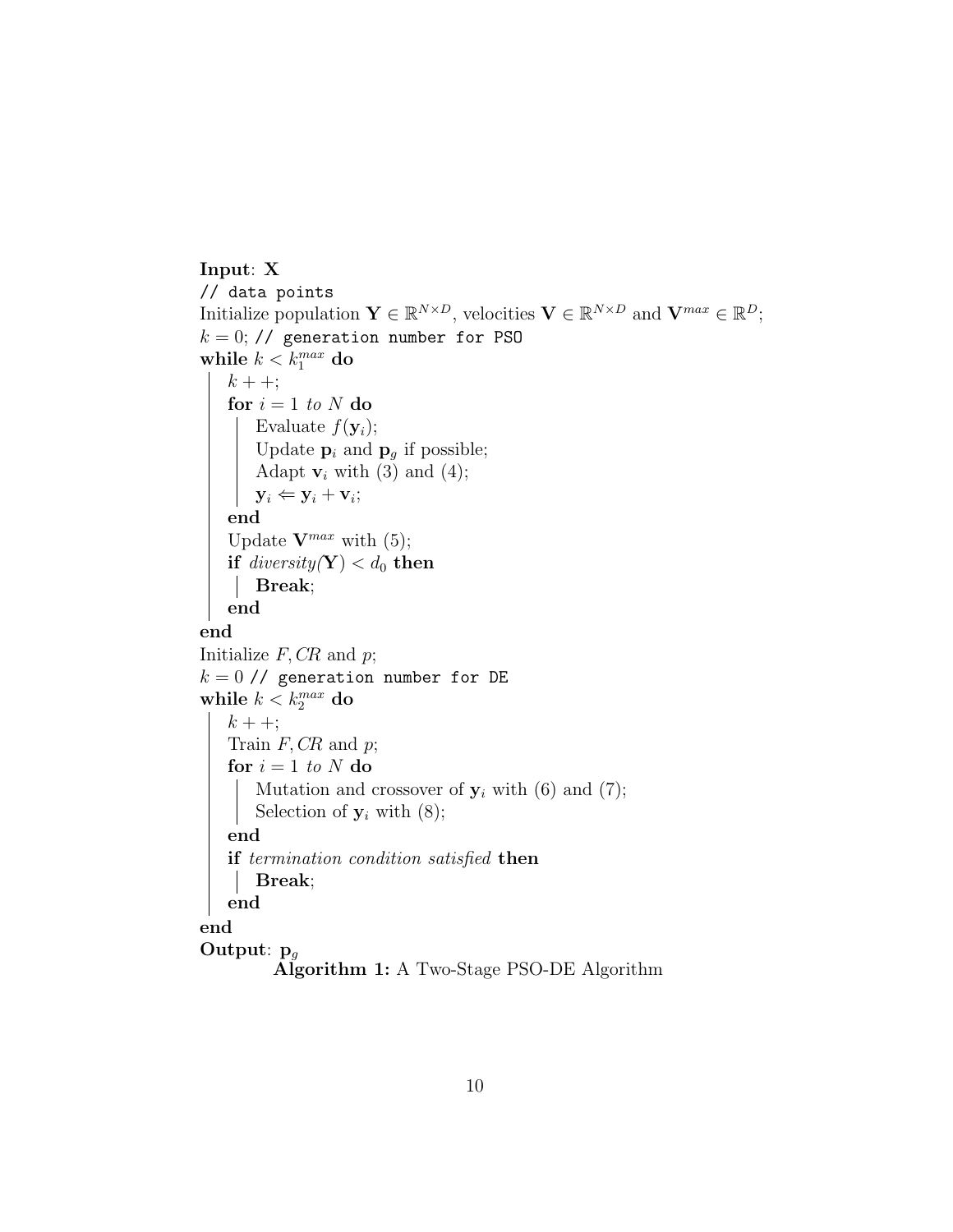```
Input: X
// data points
Initialize population \mathbf{Y} \in \mathbb{R}^{N \times D}, velocities \mathbf{V} \in \mathbb{R}^{N \times D} and \mathbf{V}^{max} \in \mathbb{R}^{D};
k = 0; // generation number for PSO
while k < k_1^{max} do
    k + +;
    for i = 1 to N do
         Evaluate f(\mathbf{y}_i);
         Update \mathbf{p}_i and \mathbf{p}_g if possible;
         Adapt \mathbf{v}_i with (3) and (4);
         y_i \Leftarrow y_i + v_i;end
    Update \mathbf{V}^{max} with (5);
    \mathbf{if} \ \operatorname{\it diversity}(\mathbf{Y}) < d_0 \ \mathbf{then}Break;
    end
end
Initialize F, CR and p;
k = 0 // generation number for DE
while k < k_2^{max} do
    k + +;Train F, CR and p;
   for i = 1 to N do
     Mutation and crossover of y_i with (6) and (7);
      Selection of y_i with (8);
    end
    if termination condition satisfied then
     Break;
    end
end
Output: pg
           Algorithm 1: A Two-Stage PSO-DE Algorithm
```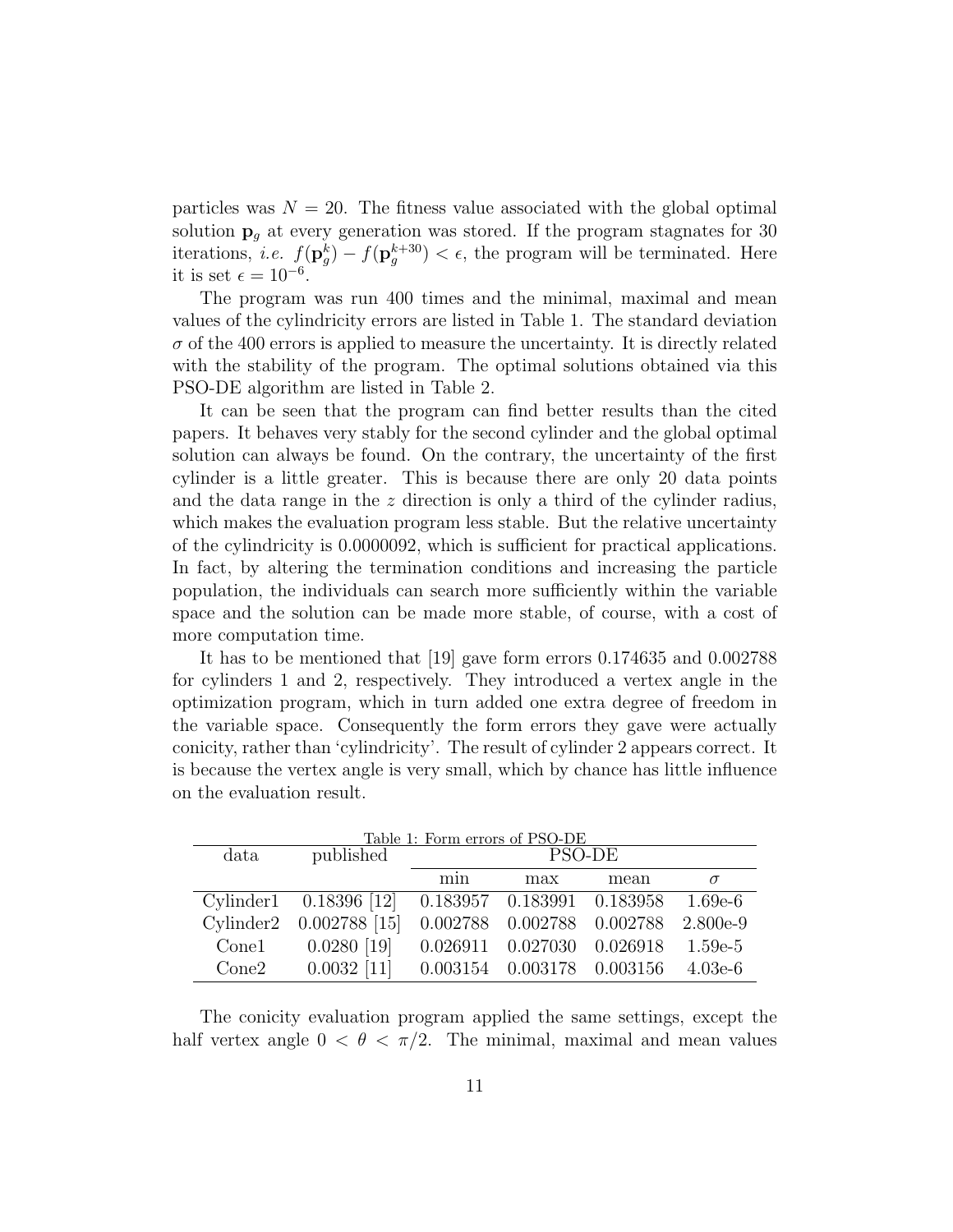particles was  $N = 20$ . The fitness value associated with the global optimal solution **p***<sup>g</sup>* at every generation was stored. If the program stagnates for 30 iterations, *i.e.*  $f(\mathbf{p}_g^k) - f(\mathbf{p}_g^{k+30}) < \epsilon$ , the program will be terminated. Here it is set  $\epsilon = 10^{-6}$ .

The program was run 400 times and the minimal, maximal and mean values of the cylindricity errors are listed in Table 1. The standard deviation  $\sigma$  of the 400 errors is applied to measure the uncertainty. It is directly related with the stability of the program. The optimal solutions obtained via this PSO-DE algorithm are listed in Table 2.

It can be seen that the program can find better results than the cited papers. It behaves very stably for the second cylinder and the global optimal solution can always be found. On the contrary, the uncertainty of the first cylinder is a little greater. This is because there are only 20 data points and the data range in the *z* direction is only a third of the cylinder radius, which makes the evaluation program less stable. But the relative uncertainty of the cylindricity is 0*.*0000092, which is sufficient for practical applications. In fact, by altering the termination conditions and increasing the particle population, the individuals can search more sufficiently within the variable space and the solution can be made more stable, of course, with a cost of more computation time.

It has to be mentioned that [19] gave form errors 0*.*174635 and 0*.*002788 for cylinders 1 and 2, respectively. They introduced a vertex angle in the optimization program, which in turn added one extra degree of freedom in the variable space. Consequently the form errors they gave were actually conicity, rather than 'cylindricity'. The result of cylinder 2 appears correct. It is because the vertex angle is very small, which by chance has little influence on the evaluation result.

| Table 1: Form errors of PSO-DE |                                                       |        |                                  |      |            |  |  |
|--------------------------------|-------------------------------------------------------|--------|----------------------------------|------|------------|--|--|
| data                           | published                                             | PSO-DE |                                  |      |            |  |  |
|                                |                                                       | min    | max                              | mean | $\sigma$   |  |  |
|                                | Cylinder1  0.18396 [12]  0.183957  0.183991  0.183958 |        |                                  |      | 1.69e-6    |  |  |
|                                | Cylinder2 0.002788 [15]                               |        | 0.002788 0.002788 0.002788       |      | $2.800e-9$ |  |  |
| Cone1                          | $0.0280$ [19]                                         |        | $0.026911$ $0.027030$ $0.026918$ |      | $1.59e-5$  |  |  |
| Cone2                          | $0.0032$ [11] $0.003154$ $0.003178$ $0.003156$        |        |                                  |      | $4.03e-6$  |  |  |

The conicity evaluation program applied the same settings, except the half vertex angle  $0 < \theta < \pi/2$ . The minimal, maximal and mean values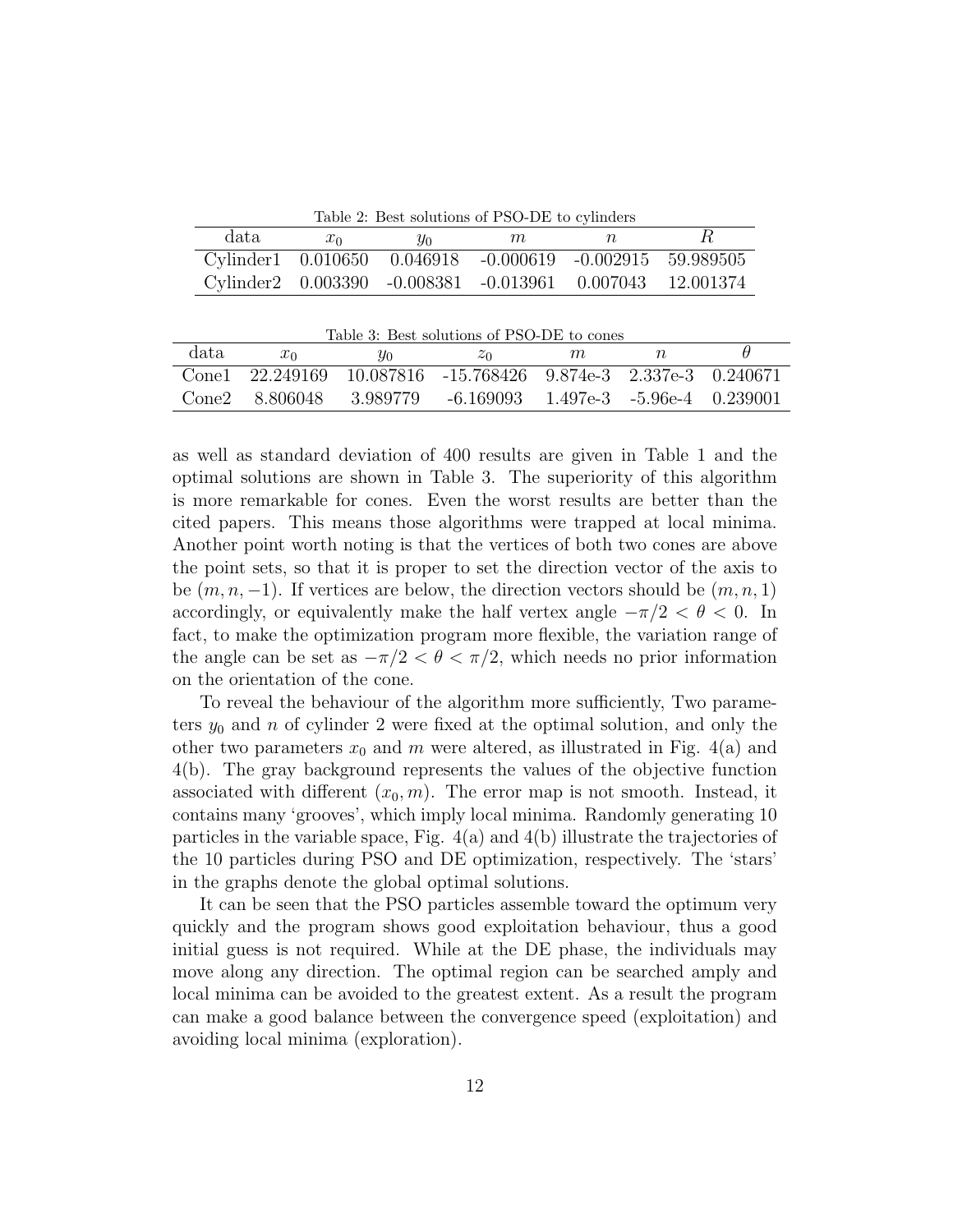Table 2: Best solutions of PSO-DE to cylinders

| data | $x_0$ | $y_0$ | m                                                              | n |  |
|------|-------|-------|----------------------------------------------------------------|---|--|
|      |       |       | Cylinder1 0.010650 0.046918 -0.000619 -0.002915 59.989505      |   |  |
|      |       |       | Cylinder2  0.003390  -0.008381  -0.013961  0.007043  12.001374 |   |  |

| Table 3: Best solutions of PSO-DE to cones |                 |       |                                                 |   |  |  |  |  |
|--------------------------------------------|-----------------|-------|-------------------------------------------------|---|--|--|--|--|
| data                                       | $x_0$           | $y_0$ | $z_0$                                           | m |  |  |  |  |
|                                            | Cone1 22.249169 |       | 10.087816 -15.768426 9.874e-3 2.337e-3 0.240671 |   |  |  |  |  |
| Cone2                                      | -8.806048       |       | 3.989779 -6.169093 1.497e-3 -5.96e-4 0.239001   |   |  |  |  |  |

as well as standard deviation of 400 results are given in Table 1 and the optimal solutions are shown in Table 3. The superiority of this algorithm is more remarkable for cones. Even the worst results are better than the cited papers. This means those algorithms were trapped at local minima. Another point worth noting is that the vertices of both two cones are above the point sets, so that it is proper to set the direction vector of the axis to be  $(m, n, -1)$ . If vertices are below, the direction vectors should be  $(m, n, 1)$ accordingly, or equivalently make the half vertex angle  $-\pi/2 < \theta < 0$ . In fact, to make the optimization program more flexible, the variation range of the angle can be set as  $-\pi/2 < \theta < \pi/2$ , which needs no prior information on the orientation of the cone.

To reveal the behaviour of the algorithm more sufficiently, Two parameters *y*<sup>0</sup> and *n* of cylinder 2 were fixed at the optimal solution, and only the other two parameters  $x_0$  and  $m$  were altered, as illustrated in Fig. 4(a) and 4(b). The gray background represents the values of the objective function associated with different  $(x_0, m)$ . The error map is not smooth. Instead, it contains many 'grooves', which imply local minima. Randomly generating 10 particles in the variable space, Fig. 4(a) and 4(b) illustrate the trajectories of the 10 particles during PSO and DE optimization, respectively. The 'stars' in the graphs denote the global optimal solutions.

It can be seen that the PSO particles assemble toward the optimum very quickly and the program shows good exploitation behaviour, thus a good initial guess is not required. While at the DE phase, the individuals may move along any direction. The optimal region can be searched amply and local minima can be avoided to the greatest extent. As a result the program can make a good balance between the convergence speed (exploitation) and avoiding local minima (exploration).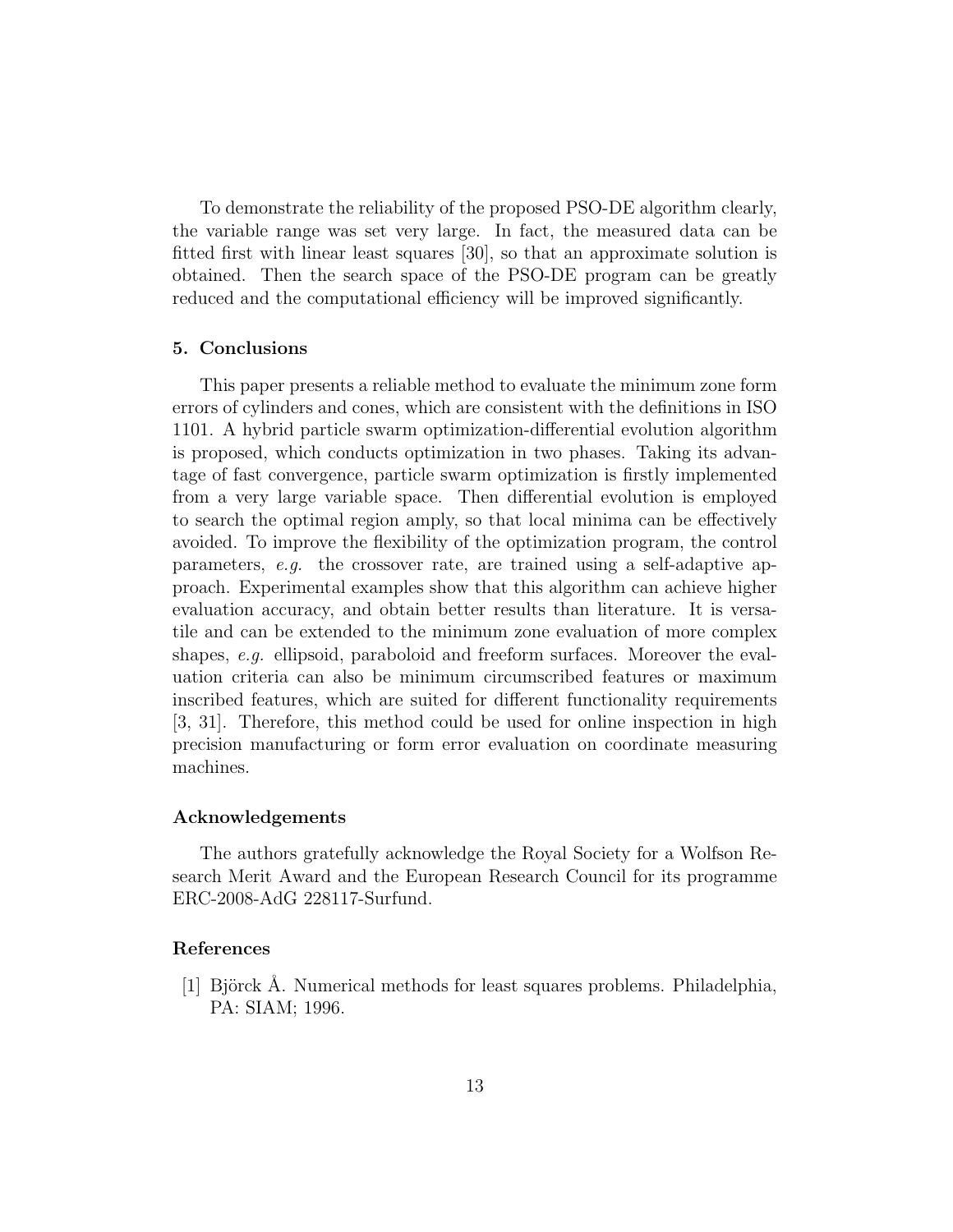To demonstrate the reliability of the proposed PSO-DE algorithm clearly, the variable range was set very large. In fact, the measured data can be fitted first with linear least squares [30], so that an approximate solution is obtained. Then the search space of the PSO-DE program can be greatly reduced and the computational efficiency will be improved significantly.

#### **5. Conclusions**

This paper presents a reliable method to evaluate the minimum zone form errors of cylinders and cones, which are consistent with the definitions in ISO 1101. A hybrid particle swarm optimization-differential evolution algorithm is proposed, which conducts optimization in two phases. Taking its advantage of fast convergence, particle swarm optimization is firstly implemented from a very large variable space. Then differential evolution is employed to search the optimal region amply, so that local minima can be effectively avoided. To improve the flexibility of the optimization program, the control parameters, *e.g.* the crossover rate, are trained using a self-adaptive approach. Experimental examples show that this algorithm can achieve higher evaluation accuracy, and obtain better results than literature. It is versatile and can be extended to the minimum zone evaluation of more complex shapes, *e.g.* ellipsoid, paraboloid and freeform surfaces. Moreover the evaluation criteria can also be minimum circumscribed features or maximum inscribed features, which are suited for different functionality requirements [3, 31]. Therefore, this method could be used for online inspection in high precision manufacturing or form error evaluation on coordinate measuring machines.

#### **Acknowledgements**

The authors gratefully acknowledge the Royal Society for a Wolfson Research Merit Award and the European Research Council for its programme ERC-2008-AdG 228117-Surfund.

## **References**

[1] Björck A. Numerical methods for least squares problems. Philadelphia, PA: SIAM; 1996.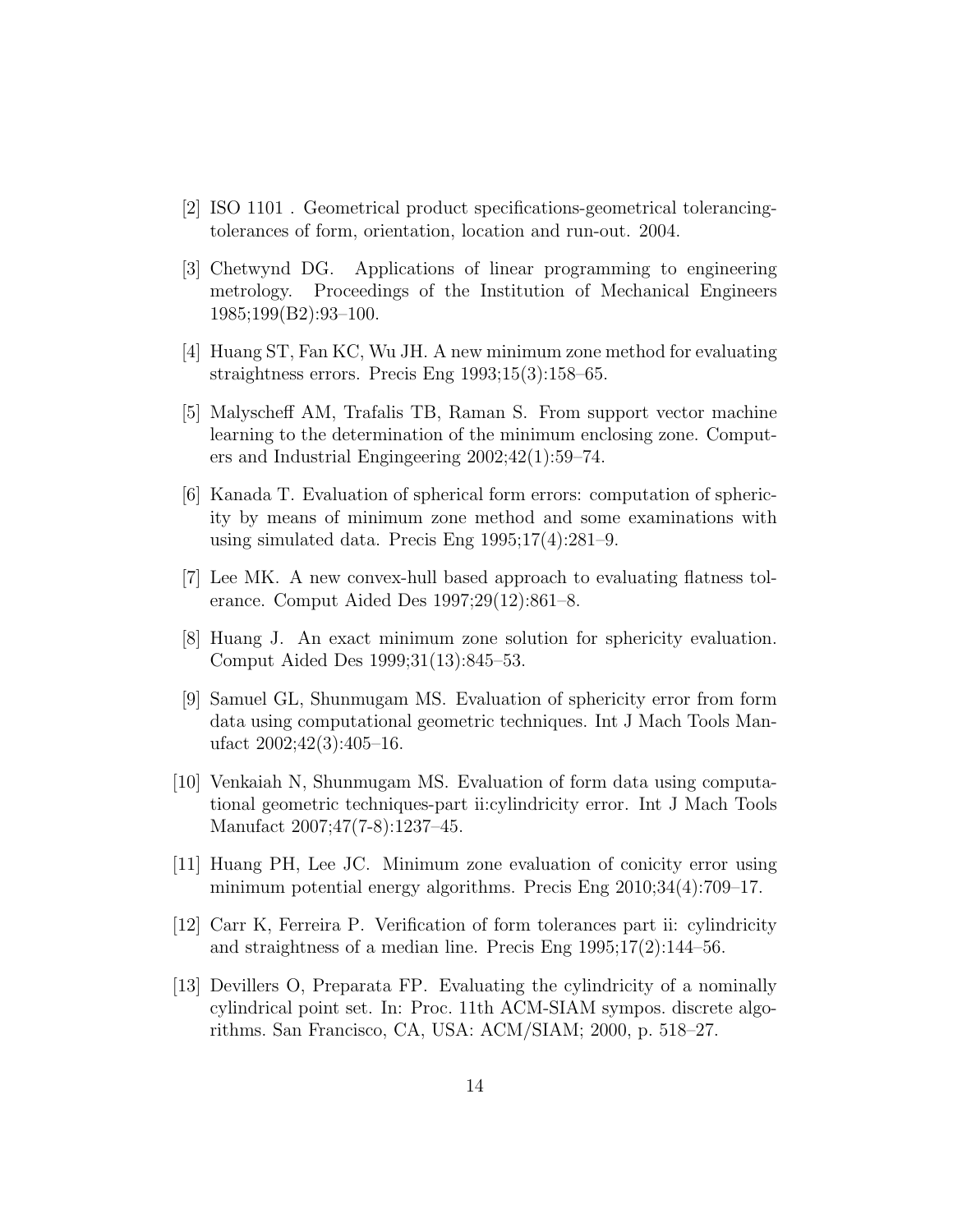- [2] ISO 1101 . Geometrical product specifications-geometrical tolerancingtolerances of form, orientation, location and run-out. 2004.
- [3] Chetwynd DG. Applications of linear programming to engineering metrology. Proceedings of the Institution of Mechanical Engineers 1985;199(B2):93–100.
- [4] Huang ST, Fan KC, Wu JH. A new minimum zone method for evaluating straightness errors. Precis Eng 1993;15(3):158–65.
- [5] Malyscheff AM, Trafalis TB, Raman S. From support vector machine learning to the determination of the minimum enclosing zone. Computers and Industrial Engingeering 2002;42(1):59–74.
- [6] Kanada T. Evaluation of spherical form errors: computation of sphericity by means of minimum zone method and some examinations with using simulated data. Precis Eng 1995;17(4):281–9.
- [7] Lee MK. A new convex-hull based approach to evaluating flatness tolerance. Comput Aided Des 1997;29(12):861–8.
- [8] Huang J. An exact minimum zone solution for sphericity evaluation. Comput Aided Des 1999;31(13):845–53.
- [9] Samuel GL, Shunmugam MS. Evaluation of sphericity error from form data using computational geometric techniques. Int J Mach Tools Manufact  $2002;42(3):405-16$ .
- [10] Venkaiah N, Shunmugam MS. Evaluation of form data using computational geometric techniques-part ii:cylindricity error. Int J Mach Tools Manufact 2007;47(7-8):1237–45.
- [11] Huang PH, Lee JC. Minimum zone evaluation of conicity error using minimum potential energy algorithms. Precis Eng 2010;34(4):709–17.
- [12] Carr K, Ferreira P. Verification of form tolerances part ii: cylindricity and straightness of a median line. Precis Eng 1995;17(2):144–56.
- [13] Devillers O, Preparata FP. Evaluating the cylindricity of a nominally cylindrical point set. In: Proc. 11th ACM-SIAM sympos. discrete algorithms. San Francisco, CA, USA: ACM/SIAM; 2000, p. 518–27.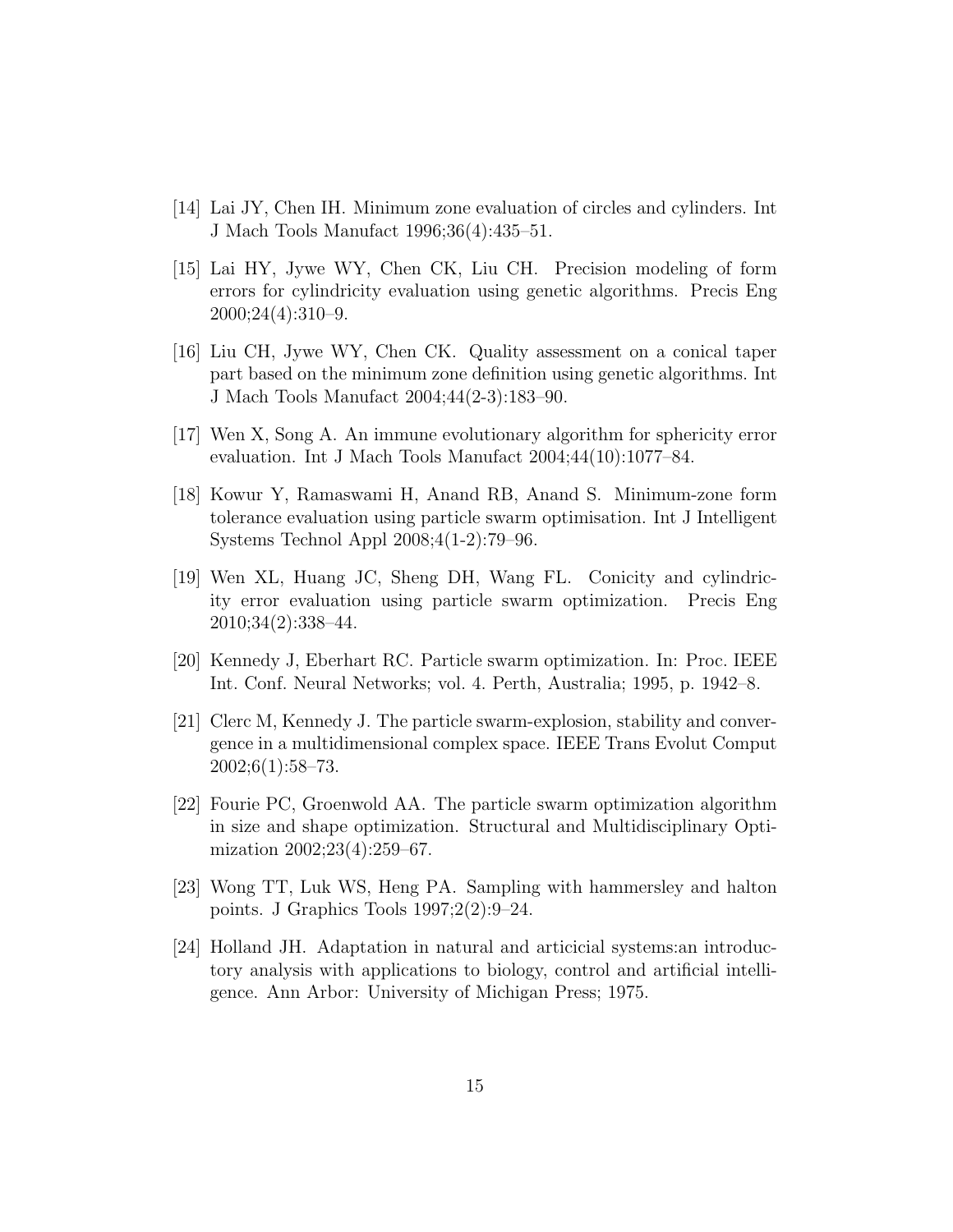- [14] Lai JY, Chen IH. Minimum zone evaluation of circles and cylinders. Int J Mach Tools Manufact 1996;36(4):435–51.
- [15] Lai HY, Jywe WY, Chen CK, Liu CH. Precision modeling of form errors for cylindricity evaluation using genetic algorithms. Precis Eng 2000;24(4):310–9.
- [16] Liu CH, Jywe WY, Chen CK. Quality assessment on a conical taper part based on the minimum zone definition using genetic algorithms. Int J Mach Tools Manufact 2004;44(2-3):183–90.
- [17] Wen X, Song A. An immune evolutionary algorithm for sphericity error evaluation. Int J Mach Tools Manufact 2004;44(10):1077–84.
- [18] Kowur Y, Ramaswami H, Anand RB, Anand S. Minimum-zone form tolerance evaluation using particle swarm optimisation. Int J Intelligent Systems Technol Appl 2008;4(1-2):79–96.
- [19] Wen XL, Huang JC, Sheng DH, Wang FL. Conicity and cylindricity error evaluation using particle swarm optimization. Precis Eng 2010;34(2):338–44.
- [20] Kennedy J, Eberhart RC. Particle swarm optimization. In: Proc. IEEE Int. Conf. Neural Networks; vol. 4. Perth, Australia; 1995, p. 1942–8.
- [21] Clerc M, Kennedy J. The particle swarm-explosion, stability and convergence in a multidimensional complex space. IEEE Trans Evolut Comput  $2002;6(1):58-73.$
- [22] Fourie PC, Groenwold AA. The particle swarm optimization algorithm in size and shape optimization. Structural and Multidisciplinary Optimization 2002;23(4):259–67.
- [23] Wong TT, Luk WS, Heng PA. Sampling with hammersley and halton points. J Graphics Tools 1997;2(2):9–24.
- [24] Holland JH. Adaptation in natural and articicial systems:an introductory analysis with applications to biology, control and artificial intelligence. Ann Arbor: University of Michigan Press; 1975.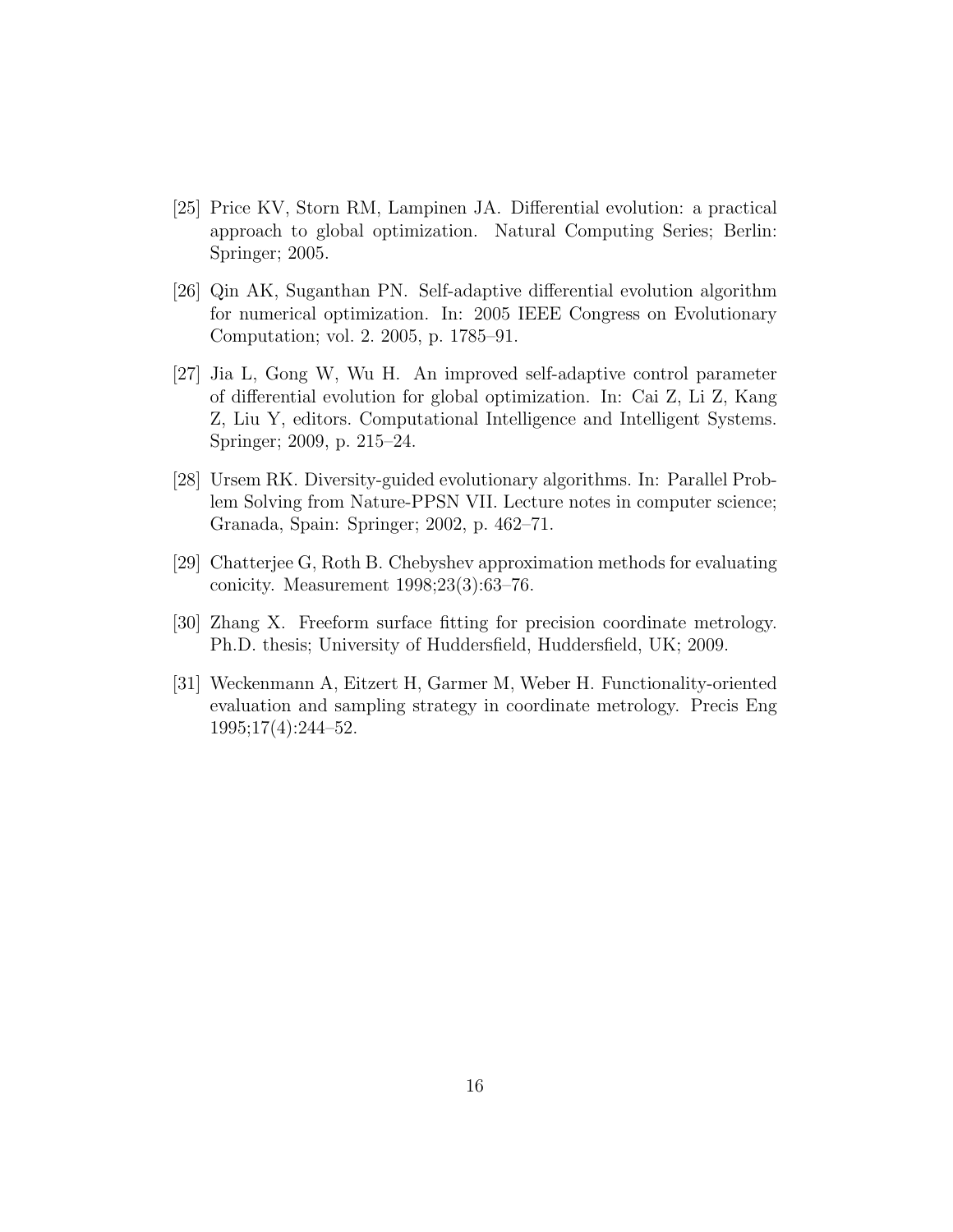- [25] Price KV, Storn RM, Lampinen JA. Differential evolution: a practical approach to global optimization. Natural Computing Series; Berlin: Springer; 2005.
- [26] Qin AK, Suganthan PN. Self-adaptive differential evolution algorithm for numerical optimization. In: 2005 IEEE Congress on Evolutionary Computation; vol. 2. 2005, p. 1785–91.
- [27] Jia L, Gong W, Wu H. An improved self-adaptive control parameter of differential evolution for global optimization. In: Cai Z, Li Z, Kang Z, Liu Y, editors. Computational Intelligence and Intelligent Systems. Springer; 2009, p. 215–24.
- [28] Ursem RK. Diversity-guided evolutionary algorithms. In: Parallel Problem Solving from Nature-PPSN VII. Lecture notes in computer science; Granada, Spain: Springer; 2002, p. 462–71.
- [29] Chatterjee G, Roth B. Chebyshev approximation methods for evaluating conicity. Measurement 1998;23(3):63–76.
- [30] Zhang X. Freeform surface fitting for precision coordinate metrology. Ph.D. thesis; University of Huddersfield, Huddersfield, UK; 2009.
- [31] Weckenmann A, Eitzert H, Garmer M, Weber H. Functionality-oriented evaluation and sampling strategy in coordinate metrology. Precis Eng 1995;17(4):244–52.